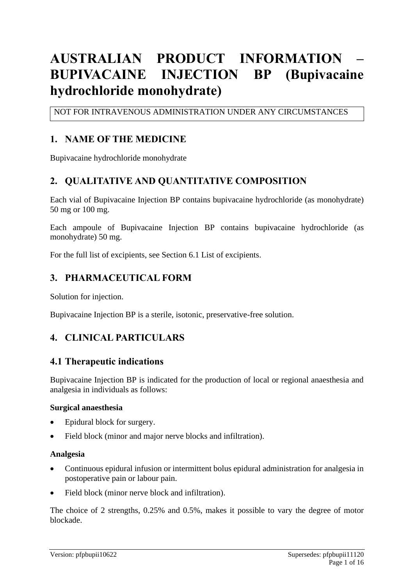# **AUSTRALIAN PRODUCT INFORMATION – BUPIVACAINE INJECTION BP (Bupivacaine hydrochloride monohydrate)**

NOT FOR INTRAVENOUS ADMINISTRATION UNDER ANY CIRCUMSTANCES

### **1. NAME OF THE MEDICINE**

Bupivacaine hydrochloride monohydrate

### **2. QUALITATIVE AND QUANTITATIVE COMPOSITION**

Each vial of Bupivacaine Injection BP contains bupivacaine hydrochloride (as monohydrate) 50 mg or 100 mg.

Each ampoule of Bupivacaine Injection BP contains bupivacaine hydrochloride (as monohydrate) 50 mg.

For the full list of excipients, see Section 6.1 List of excipients.

### **3. PHARMACEUTICAL FORM**

Solution for injection.

Bupivacaine Injection BP is a sterile, isotonic, preservative-free solution.

### **4. CLINICAL PARTICULARS**

#### **4.1 Therapeutic indications**

Bupivacaine Injection BP is indicated for the production of local or regional anaesthesia and analgesia in individuals as follows:

#### **Surgical anaesthesia**

- Epidural block for surgery.
- Field block (minor and major nerve blocks and infiltration).

#### **Analgesia**

- Continuous epidural infusion or intermittent bolus epidural administration for analgesia in postoperative pain or labour pain.
- Field block (minor nerve block and infiltration).

The choice of 2 strengths, 0.25% and 0.5%, makes it possible to vary the degree of motor blockade.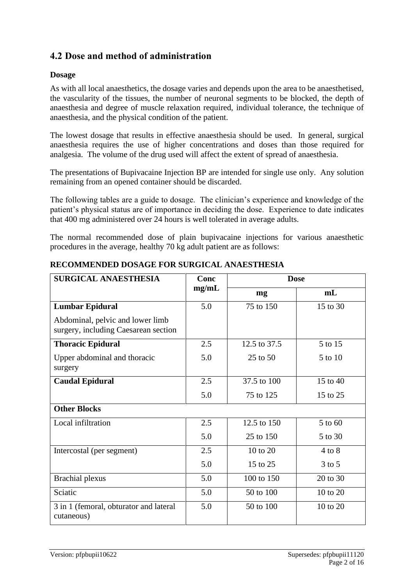# **4.2 Dose and method of administration**

#### **Dosage**

As with all local anaesthetics, the dosage varies and depends upon the area to be anaesthetised, the vascularity of the tissues, the number of neuronal segments to be blocked, the depth of anaesthesia and degree of muscle relaxation required, individual tolerance, the technique of anaesthesia, and the physical condition of the patient.

The lowest dosage that results in effective anaesthesia should be used. In general, surgical anaesthesia requires the use of higher concentrations and doses than those required for analgesia. The volume of the drug used will affect the extent of spread of anaesthesia.

The presentations of Bupivacaine Injection BP are intended for single use only. Any solution remaining from an opened container should be discarded.

The following tables are a guide to dosage. The clinician's experience and knowledge of the patient's physical status are of importance in deciding the dose. Experience to date indicates that 400 mg administered over 24 hours is well tolerated in average adults.

The normal recommended dose of plain bupivacaine injections for various anaesthetic procedures in the average, healthy 70 kg adult patient are as follows:

| <b>SURGICAL ANAESTHESIA</b>                                              | Conc<br>mg/mL | <b>Dose</b>  |                |
|--------------------------------------------------------------------------|---------------|--------------|----------------|
|                                                                          |               | mg           | m <sub>L</sub> |
| <b>Lumbar Epidural</b>                                                   | 5.0           | 75 to 150    | 15 to 30       |
| Abdominal, pelvic and lower limb<br>surgery, including Caesarean section |               |              |                |
| <b>Thoracic Epidural</b>                                                 | 2.5           | 12.5 to 37.5 | 5 to 15        |
| Upper abdominal and thoracic<br>surgery                                  | 5.0           | 25 to 50     | 5 to 10        |
| <b>Caudal Epidural</b>                                                   | 2.5           | 37.5 to 100  | 15 to 40       |
|                                                                          | 5.0           | 75 to 125    | 15 to 25       |
| <b>Other Blocks</b>                                                      |               |              |                |
| Local infiltration                                                       | 2.5           | 12.5 to 150  | 5 to 60        |
|                                                                          | 5.0           | 25 to 150    | 5 to 30        |
| Intercostal (per segment)                                                | 2.5           | 10 to 20     | $4$ to $8$     |
|                                                                          | 5.0           | 15 to 25     | $3$ to $5$     |
| <b>Brachial</b> plexus                                                   | 5.0           | 100 to 150   | 20 to 30       |
| Sciatic                                                                  | 5.0           | 50 to 100    | 10 to 20       |
| 3 in 1 (femoral, obturator and lateral<br>cutaneous)                     | 5.0           | 50 to 100    | 10 to 20       |

#### **RECOMMENDED DOSAGE FOR SURGICAL ANAESTHESIA**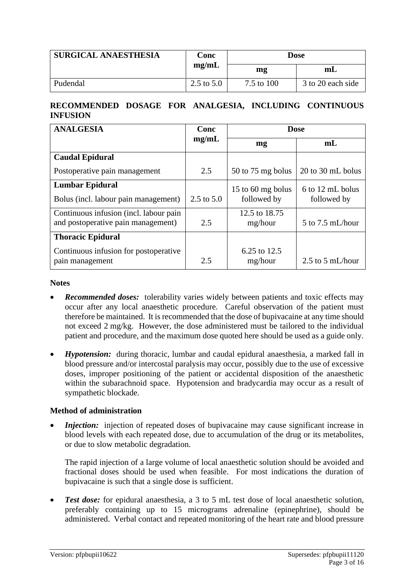| <b>SURGICAL ANAESTHESIA</b> | Conc<br>mg/mL | Dose       |                   |
|-----------------------------|---------------|------------|-------------------|
|                             |               | mg         | m <sub>L</sub>    |
| Pudendal                    | 2.5 to $5.0$  | 7.5 to 100 | 3 to 20 each side |

#### **RECOMMENDED DOSAGE FOR ANALGESIA, INCLUDING CONTINUOUS INFUSION**

| <b>ANALGESIA</b>                       | Conc<br>mg/mL | <b>Dose</b>         |                      |
|----------------------------------------|---------------|---------------------|----------------------|
|                                        |               | mg                  | m <sub>L</sub>       |
| <b>Caudal Epidural</b>                 |               |                     |                      |
| Postoperative pain management          | 2.5           | $50$ to 75 mg bolus | 20 to 30 mL bolus    |
| <b>Lumbar Epidural</b>                 |               | 15 to 60 mg bolus   | 6 to 12 mL bolus     |
| Bolus (incl. labour pain management)   | 2.5 to $5.0$  | followed by         | followed by          |
| Continuous infusion (incl. labour pain |               | 12.5 to 18.75       |                      |
| and postoperative pain management)     | 2.5           | mg/hour             | $5$ to $7.5$ mL/hour |
| <b>Thoracic Epidural</b>               |               |                     |                      |
| Continuous infusion for postoperative  |               | 6.25 to 12.5        |                      |
| pain management                        | 2.5           | mg/hour             | $2.5$ to $5$ mL/hour |

#### **Notes**

- *Recommended doses:* tolerability varies widely between patients and toxic effects may occur after any local anaesthetic procedure. Careful observation of the patient must therefore be maintained. It is recommended that the dose of bupivacaine at any time should not exceed 2 mg/kg. However, the dose administered must be tailored to the individual patient and procedure, and the maximum dose quoted here should be used as a guide only.
- *Hypotension:* during thoracic, lumbar and caudal epidural anaesthesia, a marked fall in blood pressure and/or intercostal paralysis may occur, possibly due to the use of excessive doses, improper positioning of the patient or accidental disposition of the anaesthetic within the subarachnoid space. Hypotension and bradycardia may occur as a result of sympathetic blockade.

#### **Method of administration**

• *Injection:* injection of repeated doses of bupivacaine may cause significant increase in blood levels with each repeated dose, due to accumulation of the drug or its metabolites, or due to slow metabolic degradation.

The rapid injection of a large volume of local anaesthetic solution should be avoided and fractional doses should be used when feasible. For most indications the duration of bupivacaine is such that a single dose is sufficient.

*Test dose:* for epidural anaesthesia, a 3 to 5 mL test dose of local anaesthetic solution, preferably containing up to 15 micrograms adrenaline (epinephrine), should be administered. Verbal contact and repeated monitoring of the heart rate and blood pressure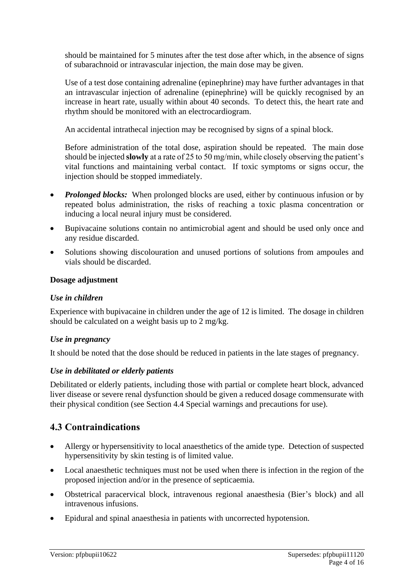should be maintained for 5 minutes after the test dose after which, in the absence of signs of subarachnoid or intravascular injection, the main dose may be given.

Use of a test dose containing adrenaline (epinephrine) may have further advantages in that an intravascular injection of adrenaline (epinephrine) will be quickly recognised by an increase in heart rate, usually within about 40 seconds. To detect this, the heart rate and rhythm should be monitored with an electrocardiogram.

An accidental intrathecal injection may be recognised by signs of a spinal block.

Before administration of the total dose, aspiration should be repeated. The main dose should be injected **slowly** at a rate of 25 to 50 mg/min, while closely observing the patient's vital functions and maintaining verbal contact. If toxic symptoms or signs occur, the injection should be stopped immediately.

- *Prolonged blocks:* When prolonged blocks are used, either by continuous infusion or by repeated bolus administration, the risks of reaching a toxic plasma concentration or inducing a local neural injury must be considered.
- Bupivacaine solutions contain no antimicrobial agent and should be used only once and any residue discarded.
- Solutions showing discolouration and unused portions of solutions from ampoules and vials should be discarded.

#### **Dosage adjustment**

#### *Use in children*

Experience with bupivacaine in children under the age of 12 is limited. The dosage in children should be calculated on a weight basis up to 2 mg/kg.

#### *Use in pregnancy*

It should be noted that the dose should be reduced in patients in the late stages of pregnancy.

#### *Use in debilitated or elderly patients*

Debilitated or elderly patients, including those with partial or complete heart block, advanced liver disease or severe renal dysfunction should be given a reduced dosage commensurate with their physical condition (see Section 4.4 Special warnings and precautions for use).

### **4.3 Contraindications**

- Allergy or hypersensitivity to local anaesthetics of the amide type. Detection of suspected hypersensitivity by skin testing is of limited value.
- Local anaesthetic techniques must not be used when there is infection in the region of the proposed injection and/or in the presence of septicaemia.
- Obstetrical paracervical block, intravenous regional anaesthesia (Bier's block) and all intravenous infusions.
- Epidural and spinal anaesthesia in patients with uncorrected hypotension.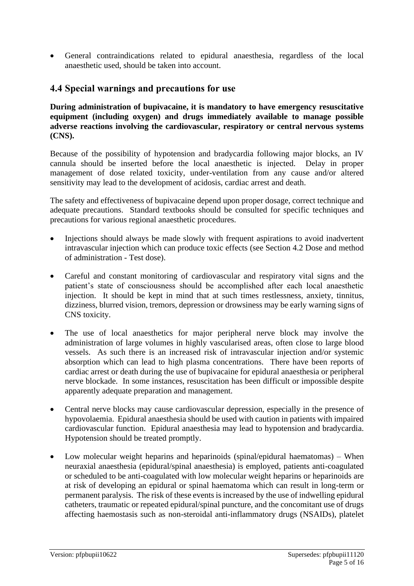• General contraindications related to epidural anaesthesia, regardless of the local anaesthetic used, should be taken into account.

### **4.4 Special warnings and precautions for use**

**During administration of bupivacaine, it is mandatory to have emergency resuscitative equipment (including oxygen) and drugs immediately available to manage possible adverse reactions involving the cardiovascular, respiratory or central nervous systems (CNS).**

Because of the possibility of hypotension and bradycardia following major blocks, an IV cannula should be inserted before the local anaesthetic is injected. Delay in proper management of dose related toxicity, under-ventilation from any cause and/or altered sensitivity may lead to the development of acidosis, cardiac arrest and death.

The safety and effectiveness of bupivacaine depend upon proper dosage, correct technique and adequate precautions. Standard textbooks should be consulted for specific techniques and precautions for various regional anaesthetic procedures.

- Injections should always be made slowly with frequent aspirations to avoid inadvertent intravascular injection which can produce toxic effects (see Section 4.2 Dose and method of administration - Test dose).
- Careful and constant monitoring of cardiovascular and respiratory vital signs and the patient's state of consciousness should be accomplished after each local anaesthetic injection. It should be kept in mind that at such times restlessness, anxiety, tinnitus, dizziness, blurred vision, tremors, depression or drowsiness may be early warning signs of CNS toxicity.
- The use of local anaesthetics for major peripheral nerve block may involve the administration of large volumes in highly vascularised areas, often close to large blood vessels. As such there is an increased risk of intravascular injection and/or systemic absorption which can lead to high plasma concentrations. There have been reports of cardiac arrest or death during the use of bupivacaine for epidural anaesthesia or peripheral nerve blockade. In some instances, resuscitation has been difficult or impossible despite apparently adequate preparation and management.
- Central nerve blocks may cause cardiovascular depression, especially in the presence of hypovolaemia. Epidural anaesthesia should be used with caution in patients with impaired cardiovascular function. Epidural anaesthesia may lead to hypotension and bradycardia. Hypotension should be treated promptly.
- Low molecular weight heparins and heparinoids (spinal/epidural haematomas) When neuraxial anaesthesia (epidural/spinal anaesthesia) is employed, patients anti-coagulated or scheduled to be anti-coagulated with low molecular weight heparins or heparinoids are at risk of developing an epidural or spinal haematoma which can result in long-term or permanent paralysis. The risk of these events is increased by the use of indwelling epidural catheters, traumatic or repeated epidural/spinal puncture, and the concomitant use of drugs affecting haemostasis such as non-steroidal anti-inflammatory drugs (NSAIDs), platelet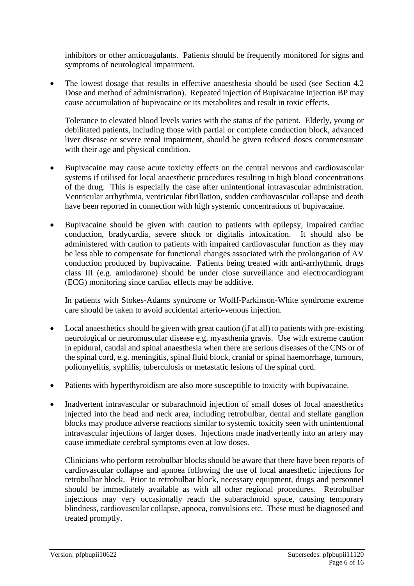inhibitors or other anticoagulants. Patients should be frequently monitored for signs and symptoms of neurological impairment.

• The lowest dosage that results in effective anaesthesia should be used (see Section 4.2) Dose and method of administration). Repeated injection of Bupivacaine Injection BP may cause accumulation of bupivacaine or its metabolites and result in toxic effects.

Tolerance to elevated blood levels varies with the status of the patient. Elderly, young or debilitated patients, including those with partial or complete conduction block, advanced liver disease or severe renal impairment, should be given reduced doses commensurate with their age and physical condition.

- Bupivacaine may cause acute toxicity effects on the central nervous and cardiovascular systems if utilised for local anaesthetic procedures resulting in high blood concentrations of the drug. This is especially the case after unintentional intravascular administration. Ventricular arrhythmia, ventricular fibrillation, sudden cardiovascular collapse and death have been reported in connection with high systemic concentrations of bupivacaine.
- Bupivacaine should be given with caution to patients with epilepsy, impaired cardiac conduction, bradycardia, severe shock or digitalis intoxication. It should also be administered with caution to patients with impaired cardiovascular function as they may be less able to compensate for functional changes associated with the prolongation of AV conduction produced by bupivacaine. Patients being treated with anti-arrhythmic drugs class III (e.g. amiodarone) should be under close surveillance and electrocardiogram (ECG) monitoring since cardiac effects may be additive.

In patients with Stokes-Adams syndrome or Wolff-Parkinson-White syndrome extreme care should be taken to avoid accidental arterio-venous injection.

- Local anaesthetics should be given with great caution (if at all) to patients with pre-existing neurological or neuromuscular disease e.g. myasthenia gravis. Use with extreme caution in epidural, caudal and spinal anaesthesia when there are serious diseases of the CNS or of the spinal cord, e.g. meningitis, spinal fluid block, cranial or spinal haemorrhage, tumours, poliomyelitis, syphilis, tuberculosis or metastatic lesions of the spinal cord.
- Patients with hyperthyroidism are also more susceptible to toxicity with bupivacaine.
- Inadvertent intravascular or subarachnoid injection of small doses of local anaesthetics injected into the head and neck area, including retrobulbar, dental and stellate ganglion blocks may produce adverse reactions similar to systemic toxicity seen with unintentional intravascular injections of larger doses. Injections made inadvertently into an artery may cause immediate cerebral symptoms even at low doses.

Clinicians who perform retrobulbar blocks should be aware that there have been reports of cardiovascular collapse and apnoea following the use of local anaesthetic injections for retrobulbar block. Prior to retrobulbar block, necessary equipment, drugs and personnel should be immediately available as with all other regional procedures. Retrobulbar injections may very occasionally reach the subarachnoid space, causing temporary blindness, cardiovascular collapse, apnoea, convulsions etc. These must be diagnosed and treated promptly.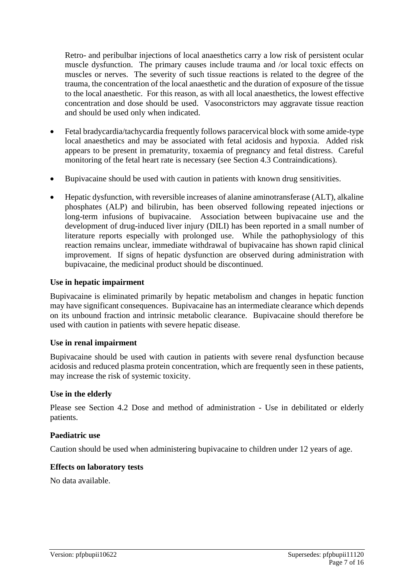Retro- and peribulbar injections of local anaesthetics carry a low risk of persistent ocular muscle dysfunction. The primary causes include trauma and /or local toxic effects on muscles or nerves. The severity of such tissue reactions is related to the degree of the trauma, the concentration of the local anaesthetic and the duration of exposure of the tissue to the local anaesthetic. For this reason, as with all local anaesthetics, the lowest effective concentration and dose should be used. Vasoconstrictors may aggravate tissue reaction and should be used only when indicated.

- Fetal bradycardia/tachycardia frequently follows paracervical block with some amide-type local anaesthetics and may be associated with fetal acidosis and hypoxia. Added risk appears to be present in prematurity, toxaemia of pregnancy and fetal distress. Careful monitoring of the fetal heart rate is necessary (see Section 4.3 Contraindications).
- Bupivacaine should be used with caution in patients with known drug sensitivities.
- Hepatic dysfunction, with reversible increases of alanine aminotransferase (ALT), alkaline phosphates (ALP) and bilirubin, has been observed following repeated injections or long-term infusions of bupivacaine. Association between bupivacaine use and the development of drug-induced liver injury (DILI) has been reported in a small number of literature reports especially with prolonged use. While the pathophysiology of this reaction remains unclear, immediate withdrawal of bupivacaine has shown rapid clinical improvement. If signs of hepatic dysfunction are observed during administration with bupivacaine, the medicinal product should be discontinued.

#### **Use in hepatic impairment**

Bupivacaine is eliminated primarily by hepatic metabolism and changes in hepatic function may have significant consequences. Bupivacaine has an intermediate clearance which depends on its unbound fraction and intrinsic metabolic clearance. Bupivacaine should therefore be used with caution in patients with severe hepatic disease.

#### **Use in renal impairment**

Bupivacaine should be used with caution in patients with severe renal dysfunction because acidosis and reduced plasma protein concentration, which are frequently seen in these patients, may increase the risk of systemic toxicity.

#### **Use in the elderly**

Please see Section 4.2 Dose and method of administration - Use in debilitated or elderly patients.

#### **Paediatric use**

Caution should be used when administering bupivacaine to children under 12 years of age.

#### **Effects on laboratory tests**

No data available.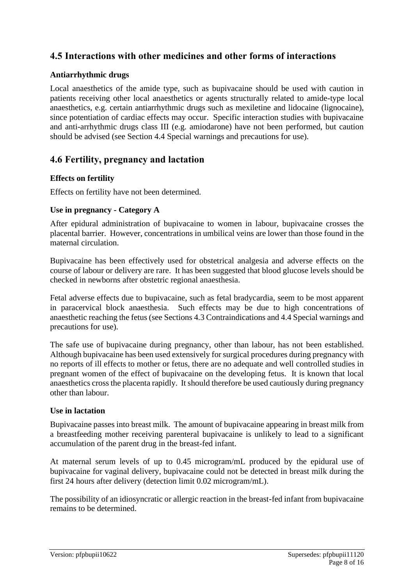### **4.5 Interactions with other medicines and other forms of interactions**

#### **Antiarrhythmic drugs**

Local anaesthetics of the amide type, such as bupivacaine should be used with caution in patients receiving other local anaesthetics or agents structurally related to amide-type local anaesthetics, e.g. certain antiarrhythmic drugs such as mexiletine and lidocaine (lignocaine), since potentiation of cardiac effects may occur. Specific interaction studies with bupivacaine and anti-arrhythmic drugs class III (e.g. amiodarone) have not been performed, but caution should be advised (see Section 4.4 Special warnings and precautions for use).

### **4.6 Fertility, pregnancy and lactation**

#### **Effects on fertility**

Effects on fertility have not been determined.

#### **Use in pregnancy - Category A**

After epidural administration of bupivacaine to women in labour, bupivacaine crosses the placental barrier. However, concentrations in umbilical veins are lower than those found in the maternal circulation.

Bupivacaine has been effectively used for obstetrical analgesia and adverse effects on the course of labour or delivery are rare. It has been suggested that blood glucose levels should be checked in newborns after obstetric regional anaesthesia.

Fetal adverse effects due to bupivacaine, such as fetal bradycardia, seem to be most apparent in paracervical block anaesthesia. Such effects may be due to high concentrations of anaesthetic reaching the fetus (see Sections 4.3 Contraindications and 4.4 Special warnings and precautions for use).

The safe use of bupivacaine during pregnancy, other than labour, has not been established. Although bupivacaine has been used extensively for surgical procedures during pregnancy with no reports of ill effects to mother or fetus, there are no adequate and well controlled studies in pregnant women of the effect of bupivacaine on the developing fetus. It is known that local anaesthetics cross the placenta rapidly. It should therefore be used cautiously during pregnancy other than labour.

#### **Use in lactation**

Bupivacaine passes into breast milk. The amount of bupivacaine appearing in breast milk from a breastfeeding mother receiving parenteral bupivacaine is unlikely to lead to a significant accumulation of the parent drug in the breast-fed infant.

At maternal serum levels of up to 0.45 microgram/mL produced by the epidural use of bupivacaine for vaginal delivery, bupivacaine could not be detected in breast milk during the first 24 hours after delivery (detection limit 0.02 microgram/mL).

The possibility of an idiosyncratic or allergic reaction in the breast-fed infant from bupivacaine remains to be determined.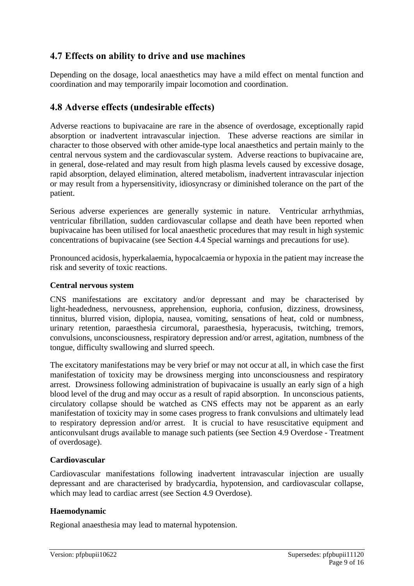### **4.7 Effects on ability to drive and use machines**

Depending on the dosage, local anaesthetics may have a mild effect on mental function and coordination and may temporarily impair locomotion and coordination.

### **4.8 Adverse effects (undesirable effects)**

Adverse reactions to bupivacaine are rare in the absence of overdosage, exceptionally rapid absorption or inadvertent intravascular injection. These adverse reactions are similar in character to those observed with other amide-type local anaesthetics and pertain mainly to the central nervous system and the cardiovascular system. Adverse reactions to bupivacaine are, in general, dose-related and may result from high plasma levels caused by excessive dosage, rapid absorption, delayed elimination, altered metabolism, inadvertent intravascular injection or may result from a hypersensitivity, idiosyncrasy or diminished tolerance on the part of the patient.

Serious adverse experiences are generally systemic in nature. Ventricular arrhythmias, ventricular fibrillation, sudden cardiovascular collapse and death have been reported when bupivacaine has been utilised for local anaesthetic procedures that may result in high systemic concentrations of bupivacaine (see Section 4.4 Special warnings and precautions for use).

Pronounced acidosis, hyperkalaemia, hypocalcaemia or hypoxia in the patient may increase the risk and severity of toxic reactions.

#### **Central nervous system**

CNS manifestations are excitatory and/or depressant and may be characterised by light-headedness, nervousness, apprehension, euphoria, confusion, dizziness, drowsiness, tinnitus, blurred vision, diplopia, nausea, vomiting, sensations of heat, cold or numbness, urinary retention, paraesthesia circumoral, paraesthesia, hyperacusis, twitching, tremors, convulsions, unconsciousness, respiratory depression and/or arrest, agitation, numbness of the tongue, difficulty swallowing and slurred speech.

The excitatory manifestations may be very brief or may not occur at all, in which case the first manifestation of toxicity may be drowsiness merging into unconsciousness and respiratory arrest. Drowsiness following administration of bupivacaine is usually an early sign of a high blood level of the drug and may occur as a result of rapid absorption. In unconscious patients, circulatory collapse should be watched as CNS effects may not be apparent as an early manifestation of toxicity may in some cases progress to frank convulsions and ultimately lead to respiratory depression and/or arrest. It is crucial to have resuscitative equipment and anticonvulsant drugs available to manage such patients (see Section 4.9 Overdose - Treatment of overdosage).

#### **Cardiovascular**

Cardiovascular manifestations following inadvertent intravascular injection are usually depressant and are characterised by bradycardia, hypotension, and cardiovascular collapse, which may lead to cardiac arrest (see Section 4.9 Overdose).

#### **Haemodynamic**

Regional anaesthesia may lead to maternal hypotension.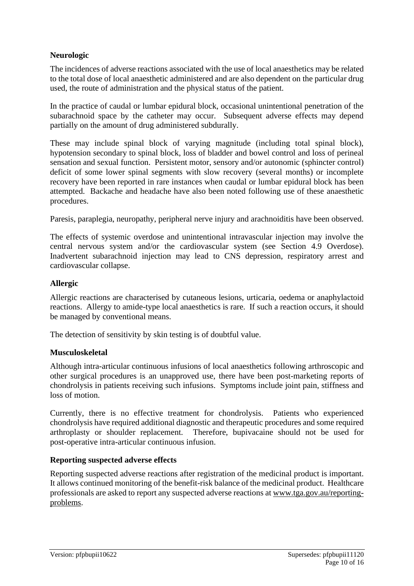#### **Neurologic**

The incidences of adverse reactions associated with the use of local anaesthetics may be related to the total dose of local anaesthetic administered and are also dependent on the particular drug used, the route of administration and the physical status of the patient.

In the practice of caudal or lumbar epidural block, occasional unintentional penetration of the subarachnoid space by the catheter may occur. Subsequent adverse effects may depend partially on the amount of drug administered subdurally.

These may include spinal block of varying magnitude (including total spinal block), hypotension secondary to spinal block, loss of bladder and bowel control and loss of perineal sensation and sexual function. Persistent motor, sensory and/or autonomic (sphincter control) deficit of some lower spinal segments with slow recovery (several months) or incomplete recovery have been reported in rare instances when caudal or lumbar epidural block has been attempted. Backache and headache have also been noted following use of these anaesthetic procedures.

Paresis, paraplegia, neuropathy, peripheral nerve injury and arachnoiditis have been observed.

The effects of systemic overdose and unintentional intravascular injection may involve the central nervous system and/or the cardiovascular system (see Section 4.9 Overdose). Inadvertent subarachnoid injection may lead to CNS depression, respiratory arrest and cardiovascular collapse.

#### **Allergic**

Allergic reactions are characterised by cutaneous lesions, urticaria, oedema or anaphylactoid reactions. Allergy to amide-type local anaesthetics is rare. If such a reaction occurs, it should be managed by conventional means.

The detection of sensitivity by skin testing is of doubtful value.

#### **Musculoskeletal**

Although intra-articular continuous infusions of local anaesthetics following arthroscopic and other surgical procedures is an unapproved use, there have been post-marketing reports of chondrolysis in patients receiving such infusions. Symptoms include joint pain, stiffness and loss of motion.

Currently, there is no effective treatment for chondrolysis. Patients who experienced chondrolysis have required additional diagnostic and therapeutic procedures and some required arthroplasty or shoulder replacement. Therefore, bupivacaine should not be used for post-operative intra-articular continuous infusion.

#### **Reporting suspected adverse effects**

Reporting suspected adverse reactions after registration of the medicinal product is important. It allows continued monitoring of the benefit-risk balance of the medicinal product. Healthcare professionals are asked to report any suspected adverse reactions at [www.tga.gov.au/reporting](http://www.tga.gov.au/reporting-problems)[problems.](http://www.tga.gov.au/reporting-problems)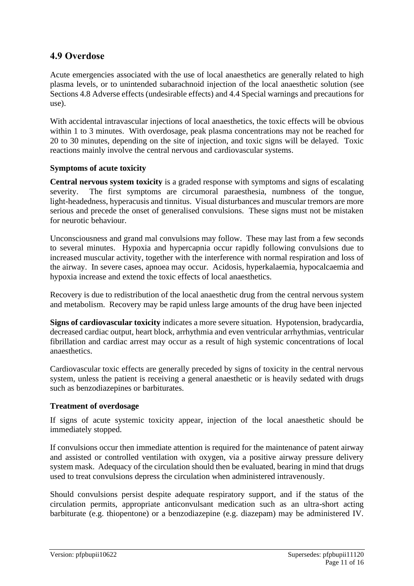### **4.9 Overdose**

Acute emergencies associated with the use of local anaesthetics are generally related to high plasma levels, or to unintended subarachnoid injection of the local anaesthetic solution (see Sections 4.8 Adverse effects (undesirable effects) and 4.4 Special warnings and precautions for use).

With accidental intravascular injections of local anaesthetics, the toxic effects will be obvious within 1 to 3 minutes. With overdosage, peak plasma concentrations may not be reached for 20 to 30 minutes, depending on the site of injection, and toxic signs will be delayed. Toxic reactions mainly involve the central nervous and cardiovascular systems.

#### **Symptoms of acute toxicity**

**Central nervous system toxicity** is a graded response with symptoms and signs of escalating severity. The first symptoms are circumoral paraesthesia, numbness of the tongue, light-headedness, hyperacusis and tinnitus. Visual disturbances and muscular tremors are more serious and precede the onset of generalised convulsions. These signs must not be mistaken for neurotic behaviour.

Unconsciousness and grand mal convulsions may follow. These may last from a few seconds to several minutes. Hypoxia and hypercapnia occur rapidly following convulsions due to increased muscular activity, together with the interference with normal respiration and loss of the airway. In severe cases, apnoea may occur. Acidosis, hyperkalaemia, hypocalcaemia and hypoxia increase and extend the toxic effects of local anaesthetics.

Recovery is due to redistribution of the local anaesthetic drug from the central nervous system and metabolism. Recovery may be rapid unless large amounts of the drug have been injected

**Signs of cardiovascular toxicity** indicates a more severe situation. Hypotension, bradycardia, decreased cardiac output, heart block, arrhythmia and even ventricular arrhythmias, ventricular fibrillation and cardiac arrest may occur as a result of high systemic concentrations of local anaesthetics.

Cardiovascular toxic effects are generally preceded by signs of toxicity in the central nervous system, unless the patient is receiving a general anaesthetic or is heavily sedated with drugs such as benzodiazepines or barbiturates.

#### **Treatment of overdosage**

If signs of acute systemic toxicity appear, injection of the local anaesthetic should be immediately stopped.

If convulsions occur then immediate attention is required for the maintenance of patent airway and assisted or controlled ventilation with oxygen, via a positive airway pressure delivery system mask. Adequacy of the circulation should then be evaluated, bearing in mind that drugs used to treat convulsions depress the circulation when administered intravenously.

Should convulsions persist despite adequate respiratory support, and if the status of the circulation permits, appropriate anticonvulsant medication such as an ultra-short acting barbiturate (e.g. thiopentone) or a benzodiazepine (e.g. diazepam) may be administered IV.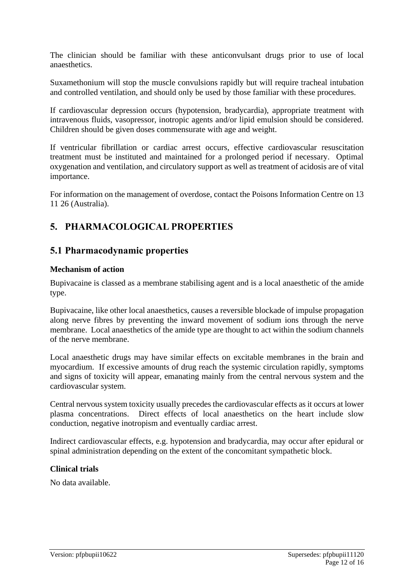The clinician should be familiar with these anticonvulsant drugs prior to use of local anaesthetics.

Suxamethonium will stop the muscle convulsions rapidly but will require tracheal intubation and controlled ventilation, and should only be used by those familiar with these procedures.

If cardiovascular depression occurs (hypotension, bradycardia), appropriate treatment with intravenous fluids, vasopressor, inotropic agents and/or lipid emulsion should be considered. Children should be given doses commensurate with age and weight.

If ventricular fibrillation or cardiac arrest occurs, effective cardiovascular resuscitation treatment must be instituted and maintained for a prolonged period if necessary. Optimal oxygenation and ventilation, and circulatory support as well as treatment of acidosis are of vital importance.

For information on the management of overdose, contact the Poisons Information Centre on 13 11 26 (Australia).

# **5. PHARMACOLOGICAL PROPERTIES**

### **5.1 Pharmacodynamic properties**

#### **Mechanism of action**

Bupivacaine is classed as a membrane stabilising agent and is a local anaesthetic of the amide type.

Bupivacaine, like other local anaesthetics, causes a reversible blockade of impulse propagation along nerve fibres by preventing the inward movement of sodium ions through the nerve membrane. Local anaesthetics of the amide type are thought to act within the sodium channels of the nerve membrane.

Local anaesthetic drugs may have similar effects on excitable membranes in the brain and myocardium. If excessive amounts of drug reach the systemic circulation rapidly, symptoms and signs of toxicity will appear, emanating mainly from the central nervous system and the cardiovascular system.

Central nervous system toxicity usually precedes the cardiovascular effects as it occurs at lower plasma concentrations. Direct effects of local anaesthetics on the heart include slow conduction, negative inotropism and eventually cardiac arrest.

Indirect cardiovascular effects, e.g. hypotension and bradycardia, may occur after epidural or spinal administration depending on the extent of the concomitant sympathetic block.

#### **Clinical trials**

No data available.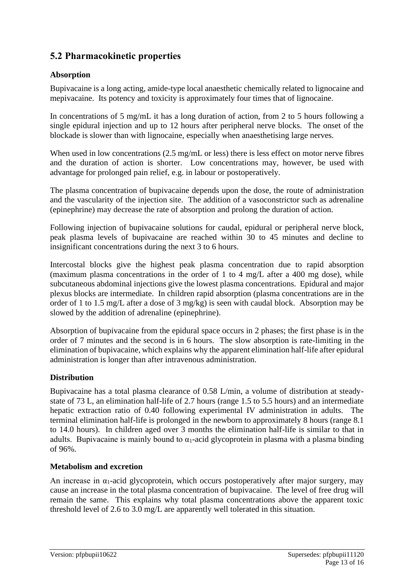# **5.2 Pharmacokinetic properties**

#### **Absorption**

Bupivacaine is a long acting, amide-type local anaesthetic chemically related to lignocaine and mepivacaine. Its potency and toxicity is approximately four times that of lignocaine.

In concentrations of 5 mg/mL it has a long duration of action, from 2 to 5 hours following a single epidural injection and up to 12 hours after peripheral nerve blocks. The onset of the blockade is slower than with lignocaine, especially when anaesthetising large nerves.

When used in low concentrations (2.5 mg/mL or less) there is less effect on motor nerve fibres and the duration of action is shorter. Low concentrations may, however, be used with advantage for prolonged pain relief, e.g. in labour or postoperatively.

The plasma concentration of bupivacaine depends upon the dose, the route of administration and the vascularity of the injection site. The addition of a vasoconstrictor such as adrenaline (epinephrine) may decrease the rate of absorption and prolong the duration of action.

Following injection of bupivacaine solutions for caudal, epidural or peripheral nerve block, peak plasma levels of bupivacaine are reached within 30 to 45 minutes and decline to insignificant concentrations during the next 3 to 6 hours.

Intercostal blocks give the highest peak plasma concentration due to rapid absorption (maximum plasma concentrations in the order of 1 to 4 mg/L after a 400 mg dose), while subcutaneous abdominal injections give the lowest plasma concentrations. Epidural and major plexus blocks are intermediate. In children rapid absorption (plasma concentrations are in the order of 1 to 1.5 mg/L after a dose of 3 mg/kg) is seen with caudal block. Absorption may be slowed by the addition of adrenaline (epinephrine).

Absorption of bupivacaine from the epidural space occurs in 2 phases; the first phase is in the order of 7 minutes and the second is in 6 hours. The slow absorption is rate-limiting in the elimination of bupivacaine, which explains why the apparent elimination half-life after epidural administration is longer than after intravenous administration.

#### **Distribution**

Bupivacaine has a total plasma clearance of 0.58 L/min, a volume of distribution at steadystate of 73 L, an elimination half-life of 2.7 hours (range 1.5 to 5.5 hours) and an intermediate hepatic extraction ratio of 0.40 following experimental IV administration in adults. The terminal elimination half-life is prolonged in the newborn to approximately 8 hours (range 8.1 to 14.0 hours). In children aged over 3 months the elimination half-life is similar to that in adults. Bupivacaine is mainly bound to  $\alpha_1$ -acid glycoprotein in plasma with a plasma binding of 96%.

#### **Metabolism and excretion**

An increase in  $\alpha_1$ -acid glycoprotein, which occurs postoperatively after major surgery, may cause an increase in the total plasma concentration of bupivacaine. The level of free drug will remain the same. This explains why total plasma concentrations above the apparent toxic threshold level of 2.6 to 3.0 mg/L are apparently well tolerated in this situation.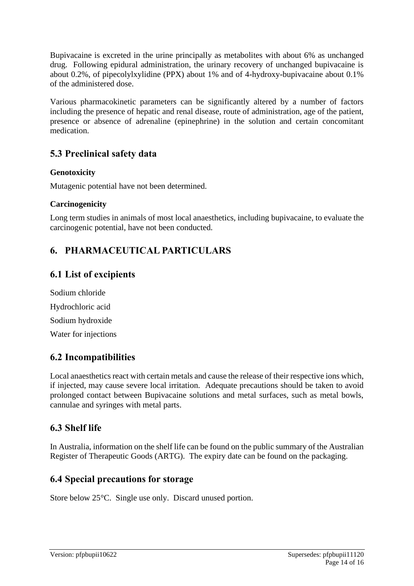Bupivacaine is excreted in the urine principally as metabolites with about 6% as unchanged drug. Following epidural administration, the urinary recovery of unchanged bupivacaine is about 0.2%, of pipecolylxylidine (PPX) about 1% and of 4-hydroxy-bupivacaine about 0.1% of the administered dose.

Various pharmacokinetic parameters can be significantly altered by a number of factors including the presence of hepatic and renal disease, route of administration, age of the patient, presence or absence of adrenaline (epinephrine) in the solution and certain concomitant medication.

### **5.3 Preclinical safety data**

#### **Genotoxicity**

Mutagenic potential have not been determined.

#### **Carcinogenicity**

Long term studies in animals of most local anaesthetics, including bupivacaine, to evaluate the carcinogenic potential, have not been conducted.

# **6. PHARMACEUTICAL PARTICULARS**

### **6.1 List of excipients**

| Sodium chloride      |
|----------------------|
| Hydrochloric acid    |
| Sodium hydroxide     |
| Water for injections |

### **6.2 Incompatibilities**

Local anaesthetics react with certain metals and cause the release of their respective ions which, if injected, may cause severe local irritation. Adequate precautions should be taken to avoid prolonged contact between Bupivacaine solutions and metal surfaces, such as metal bowls, cannulae and syringes with metal parts.

### **6.3 Shelf life**

In Australia, information on the shelf life can be found on the public summary of the Australian Register of Therapeutic Goods (ARTG). The expiry date can be found on the packaging.

### **6.4 Special precautions for storage**

Store below 25°C. Single use only. Discard unused portion.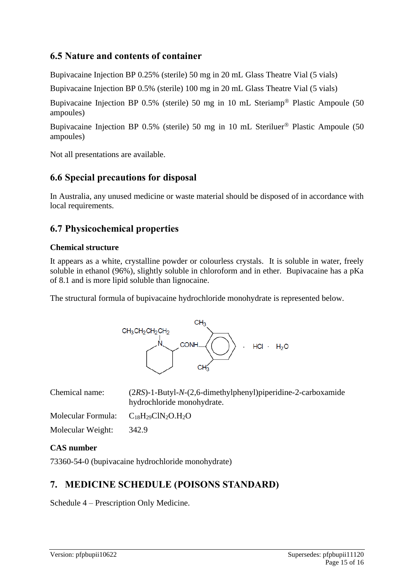### **6.5 Nature and contents of container**

Bupivacaine Injection BP 0.25% (sterile) 50 mg in 20 mL Glass Theatre Vial (5 vials)

Bupivacaine Injection BP 0.5% (sterile) 100 mg in 20 mL Glass Theatre Vial (5 vials)

Bupivacaine Injection BP 0.5% (sterile) 50 mg in 10 mL Steriamp<sup>®</sup> Plastic Ampoule (50 ampoules)

Bupivacaine Injection BP 0.5% (sterile) 50 mg in 10 mL Steriluer<sup>®</sup> Plastic Ampoule (50 ampoules)

Not all presentations are available.

### **6.6 Special precautions for disposal**

In Australia, any unused medicine or waste material should be disposed of in accordance with local requirements.

### **6.7 Physicochemical properties**

#### **Chemical structure**

It appears as a white, crystalline powder or colourless crystals. It is soluble in water, freely soluble in ethanol (96%), slightly soluble in chloroform and in ether. Bupivacaine has a pKa of 8.1 and is more lipid soluble than lignocaine.

The structural formula of bupivacaine hydrochloride monohydrate is represented below.



| Chemical name:     | $(2RS)$ -1-Butyl-N- $(2,6$ -dimethylphenyl)piperidine-2-carboxamide<br>hydrochloride monohydrate. |
|--------------------|---------------------------------------------------------------------------------------------------|
| Molecular Formula: | $C_{18}H_{29}CIN_2O.H_2O$                                                                         |
| Molecular Weight:  | 342.9                                                                                             |

#### **CAS number**

73360-54-0 (bupivacaine hydrochloride monohydrate)

# **7. MEDICINE SCHEDULE (POISONS STANDARD)**

Schedule 4 – Prescription Only Medicine.